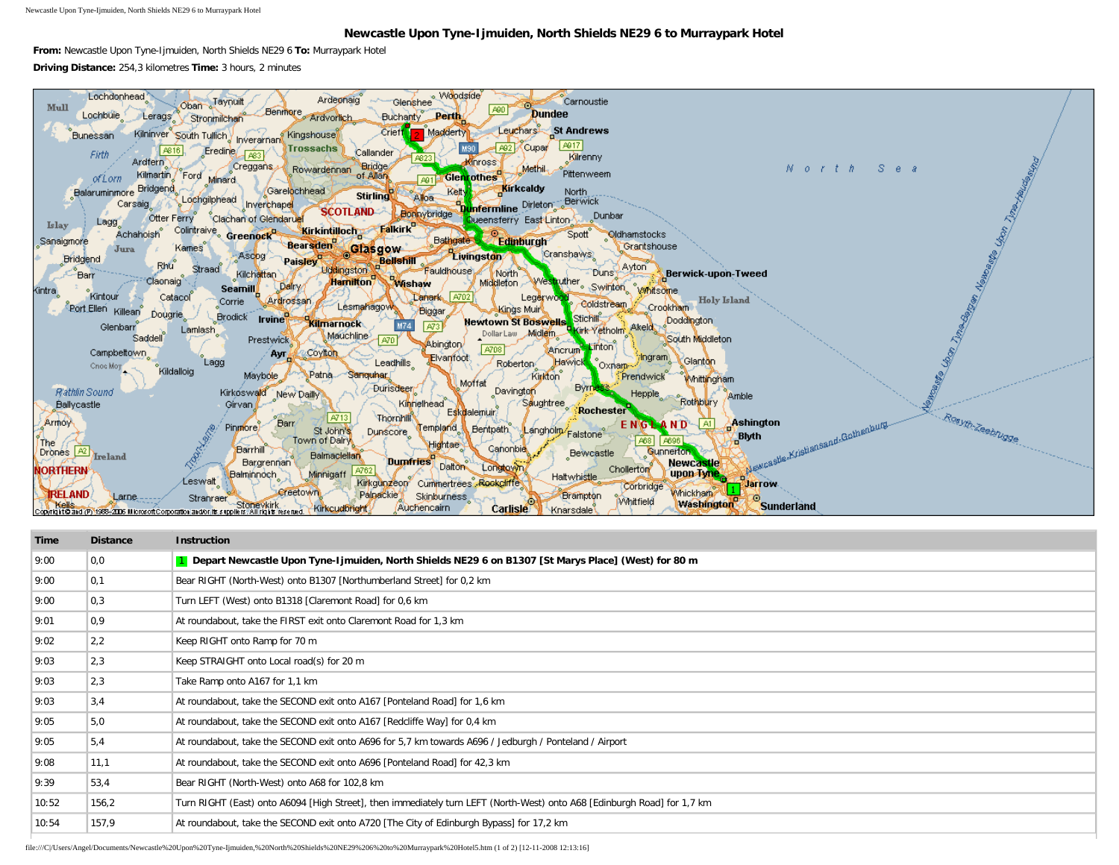Newcastle Upon Tyne-Ijmuiden, North Shields NE29 6 to Murraypark Hotel

## **Newcastle Upon Tyne-Ijmuiden, North Shields NE29 6 to Murraypark Hotel**

**From:** Newcastle Upon Tyne-Ijmuiden, North Shields NE29 6 **To:** Murraypark Hotel **Driving Distance:** 254,3 kilometres **Time:** 3 hours, 2 minutes



| Time  | <b>Distance</b>   | <b>Instruction</b>                                                                                                       |
|-------|-------------------|--------------------------------------------------------------------------------------------------------------------------|
| 9:00  | 0,0               | 1 Depart Newcastle Upon Tyne-Ijmuiden, North Shields NE29 6 on B1307 [St Marys Place] (West) for 80 m                    |
| 9:00  | $\vert 0,1 \vert$ | Bear RIGHT (North-West) onto B1307 [Northumberland Street] for 0,2 km                                                    |
| 9:00  | 0,3               | Turn LEFT (West) onto B1318 [Claremont Road] for 0,6 km                                                                  |
| 9:01  | 0,9               | At roundabout, take the FIRST exit onto Claremont Road for 1,3 km                                                        |
| 9:02  | 2,2               | Keep RIGHT onto Ramp for 70 m                                                                                            |
| 9:03  | 2,3               | Keep STRAIGHT onto Local road(s) for 20 m                                                                                |
| 9:03  | 2,3               | Take Ramp onto A167 for 1,1 km                                                                                           |
| 9:03  | 3,4               | At roundabout, take the SECOND exit onto A167 [Ponteland Road] for 1,6 km                                                |
| 9:05  | 5,0               | At roundabout, take the SECOND exit onto A167 [Redcliffe Way] for 0,4 km                                                 |
| 9:05  | 5,4               | At roundabout, take the SECOND exit onto A696 for 5,7 km towards A696 / Jedburgh / Ponteland / Airport                   |
| 9:08  | 11,1              | At roundabout, take the SECOND exit onto A696 [Ponteland Road] for 42,3 km                                               |
| 9:39  | 53.4              | Bear RIGHT (North-West) onto A68 for 102,8 km                                                                            |
| 10:52 | 156,2             | Turn RIGHT (East) onto A6094 [High Street], then immediately turn LEFT (North-West) onto A68 [Edinburgh Road] for 1,7 km |
| 10:54 | 157,9             | At roundabout, take the SECOND exit onto A720 [The City of Edinburgh Bypass] for 17,2 km                                 |